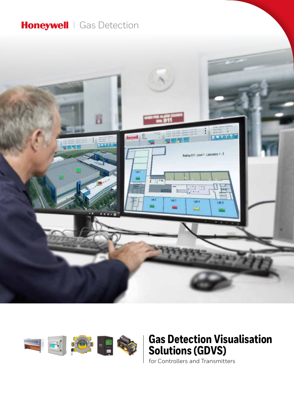### Honeywell | Gas Detection





## **Gas Detection Visualisation Solutions (GDVS)**

for Controllers and Transmitters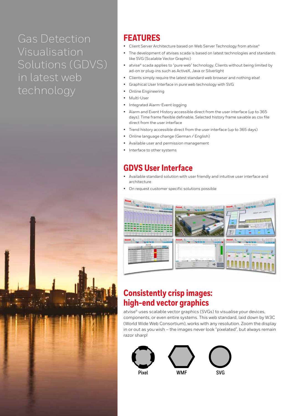# Gas Detection Visualisation Solutions (GDVS) in latest web technology



### **FEATURES**

- Client Server Architecture based on Web Server Technology from atvise®
- The development of atvises scada is based on latest technologies and standards like SVG (Scalable Vector Graphic)
- atvise® scada applies to "pure web" technology, Clients without being limited by ad-on or plug-ins such as ActiveX, Java or Silverlight
- Clients simply require the latest standard web browser and nothing else!
- Graphical User Interface in pure web technology with SVG
- Online Engineering
- Multi-User
- Integrated Alarm-Event logging
- Alarm and Event History accessible direct from the user interface (up to 365 days). Time frame flexible definable. Selected history frame savable as csv file direct from the user interface
- Trend history accessible direct from the user interface (up to 365 days)
- Online language change (German / English)
- Available user and permission management
- Interface to other systems

### **GDVS User Interface**

- Available standard solution with user friendly and intuitive user interface and architecture
- On request customer specific solutions possible



### **Consistently crisp images: high-end vector graphics**

atvise® uses scalable vector graphics (SVGs) to visualise your devices, components, or even entire systems. This web standard, laid down by W3C (World Wide Web Consortium), works with any resolution. Zoom the display in or out as you wish – the images never look "pixelated", but always remain razor sharp!

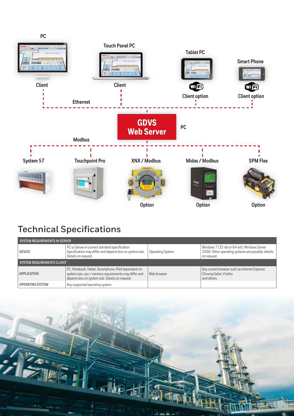

## **Technical Specifications**

| SYSTEM REQUIREMENTS IN SERVER |                                                                                                                                                                 |                  |                                                                                                                    |
|-------------------------------|-----------------------------------------------------------------------------------------------------------------------------------------------------------------|------------------|--------------------------------------------------------------------------------------------------------------------|
| <b>DEVICE</b>                 | PC or Server in current standard specification.<br>Specification may differ and depend also on system size,<br>Details on request.                              | Operating System | Windows 7 (32-bit or 64-bit), Windows Server<br>2008. Other operating systems are possible, details<br>on request. |
| SYSTEM REQUIREMENTS CLIENT    |                                                                                                                                                                 |                  |                                                                                                                    |
| APPLICATION                   | PC, Notebook, Tablet, Smartphone, iPad dependant on<br>system size .cpu + memory requirements may differ and<br>depend also on system size. Details on request. | Web browser      | Any current browser such as Internet Explorer,<br>Chrome.Safari, Firefox<br>and others.                            |
| <b>OPERATING SYSTEM</b>       | Any supported operating system                                                                                                                                  |                  |                                                                                                                    |